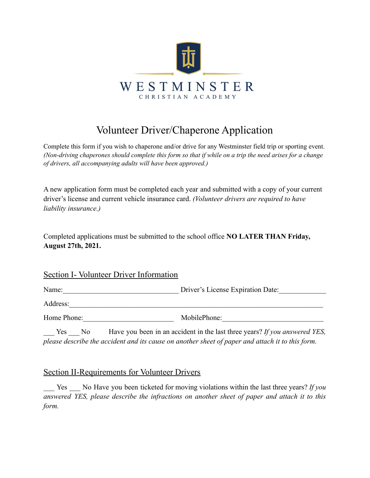

# Volunteer Driver/Chaperone Application

Complete this form if you wish to chaperone and/or drive for any Westminster field trip or sporting event. (Non-driving chaperones should complete this form so that if while on a trip the need arises for a change *of drivers, all accompanying adults will have been approved.)*

A new application form must be completed each year and submitted with a copy of your current driver's license and current vehicle insurance card. *(Volunteer drivers are required to have liability insurance.)*

Completed applications must be submitted to the school office **NO LATER THAN Friday, August 27th, 2021.**

#### Section I- Volunteer Driver Information

Name: Driver's License Expiration Date: Address: Home Phone: MobilePhone:

\_\_\_ Yes \_\_\_ No Have you been in an accident in the last three years? *If you answered YES, please describe the accident and its cause on another sheet of paper and attach it to this form.*

#### Section II-Requirements for Volunteer Drivers

\_\_\_ Yes \_\_\_ No Have you been ticketed for moving violations within the last three years? *If you answered YES, please describe the infractions on another sheet of paper and attach it to this form.*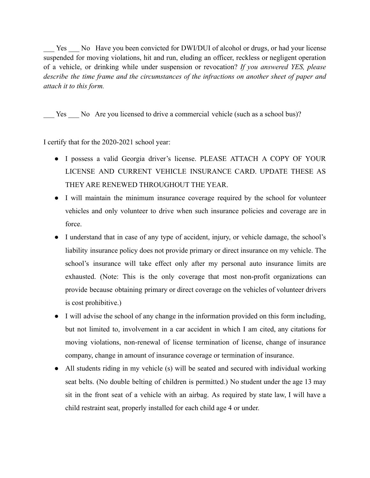Yes No Have you been convicted for DWI/DUI of alcohol or drugs, or had your license suspended for moving violations, hit and run, eluding an officer, reckless or negligent operation of a vehicle, or drinking while under suspension or revocation? *If you answered YES, please describe the time frame and the circumstances of the infractions on another sheet of paper and attach it to this form.*

Yes No Are you licensed to drive a commercial vehicle (such as a school bus)?

I certify that for the 2020-2021 school year:

- I possess a valid Georgia driver's license. PLEASE ATTACH A COPY OF YOUR LICENSE AND CURRENT VEHICLE INSURANCE CARD. UPDATE THESE AS THEY ARE RENEWED THROUGHOUT THE YEAR.
- I will maintain the minimum insurance coverage required by the school for volunteer vehicles and only volunteer to drive when such insurance policies and coverage are in force.
- I understand that in case of any type of accident, injury, or vehicle damage, the school's liability insurance policy does not provide primary or direct insurance on my vehicle. The school's insurance will take effect only after my personal auto insurance limits are exhausted. (Note: This is the only coverage that most non-profit organizations can provide because obtaining primary or direct coverage on the vehicles of volunteer drivers is cost prohibitive.)
- I will advise the school of any change in the information provided on this form including, but not limited to, involvement in a car accident in which I am cited, any citations for moving violations, non-renewal of license termination of license, change of insurance company, change in amount of insurance coverage or termination of insurance.
- All students riding in my vehicle (s) will be seated and secured with individual working seat belts. (No double belting of children is permitted.) No student under the age 13 may sit in the front seat of a vehicle with an airbag. As required by state law, I will have a child restraint seat, properly installed for each child age 4 or under.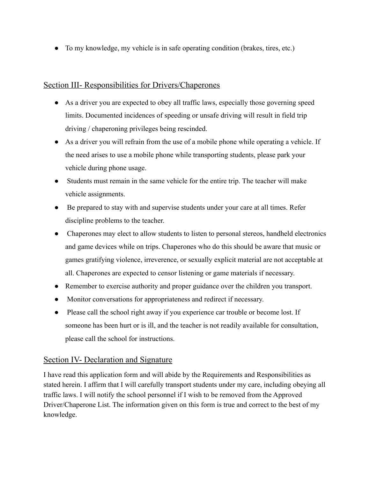● To my knowledge, my vehicle is in safe operating condition (brakes, tires, etc.)

### Section III- Responsibilities for Drivers/Chaperones

- As a driver you are expected to obey all traffic laws, especially those governing speed limits. Documented incidences of speeding or unsafe driving will result in field trip driving / chaperoning privileges being rescinded.
- As a driver you will refrain from the use of a mobile phone while operating a vehicle. If the need arises to use a mobile phone while transporting students, please park your vehicle during phone usage.
- Students must remain in the same vehicle for the entire trip. The teacher will make vehicle assignments.
- Be prepared to stay with and supervise students under your care at all times. Refer discipline problems to the teacher.
- Chaperones may elect to allow students to listen to personal stereos, handheld electronics and game devices while on trips. Chaperones who do this should be aware that music or games gratifying violence, irreverence, or sexually explicit material are not acceptable at all. Chaperones are expected to censor listening or game materials if necessary.
- Remember to exercise authority and proper guidance over the children you transport.
- Monitor conversations for appropriateness and redirect if necessary.
- Please call the school right away if you experience car trouble or become lost. If someone has been hurt or is ill, and the teacher is not readily available for consultation, please call the school for instructions.

## Section IV- Declaration and Signature

I have read this application form and will abide by the Requirements and Responsibilities as stated herein. I affirm that I will carefully transport students under my care, including obeying all traffic laws. I will notify the school personnel if I wish to be removed from the Approved Driver/Chaperone List. The information given on this form is true and correct to the best of my knowledge.